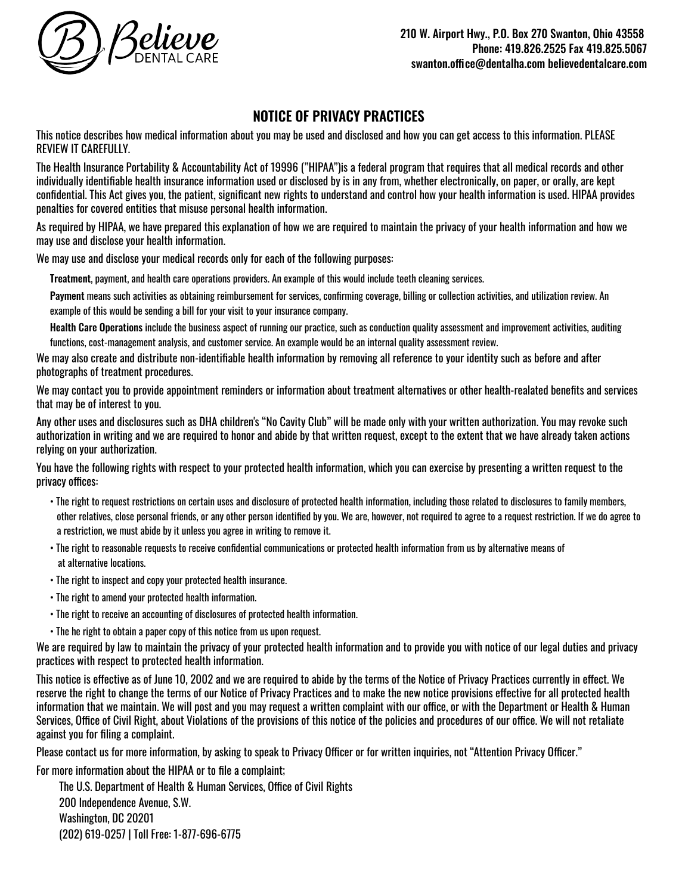

## **NOTICE OF PRIVACY PRACTICES**

This notice describes how medical information about you may be used and disclosed and how you can get access to this information. PLEASE REVIEW IT CAREFULLY.

The Health Insurance Portability & Accountability Act of 19996 ("HIPAA")is a federal program that requires that all medical records and other individually identifiable health insurance information used or disclosed by is in any from, whether electronically, on paper, or orally, are kept confidential. This Act gives you, the patient, significant new rights to understand and control how your health information is used. HIPAA provides penalties for covered entities that misuse personal health information.

As required by HIPAA, we have prepared this explanation of how we are required to maintain the privacy of your health information and how we may use and disclose your health information.

We may use and disclose your medical records only for each of the following purposes:

Treatment, payment, and health care operations providers. An example of this would include teeth cleaning services.

Payment means such activities as obtaining reimbursement for services, confirming coverage, billing or collection activities, and utilization review. An example of this would be sending a bill for your visit to your insurance company.

Health Care Operations include the business aspect of running our practice, such as conduction quality assessment and improvement activities, auditing functions, cost-management analysis, and customer service. An example would be an internal quality assessment review.

We may also create and distribute non-identifiable health information by removing all reference to your identity such as before and after photographs of treatment procedures.

We may contact you to provide appointment reminders or information about treatment alternatives or other health-realated benefits and services that may be of interest to you.

Any other uses and disclosures such as DHA children's "No Cavity Club" will be made only with your written authorization. You may revoke such authorization in writing and we are required to honor and abide by that written request, except to the extent that we have already taken actions relying on your authorization.

You have the following rights with respect to your protected health information, which you can exercise by presenting a written request to the privacy offices:

- The right to request restrictions on certain uses and disclosure of protected health information, including those related to disclosures to family members, other relatives, close personal friends, or any other person identified by you. We are, however, not required to agree to a request restriction. If we do agree to a restriction, we must abide by it unless you agree in writing to remove it.
- The right to reasonable requests to receive confidential communications or protected health information from us by alternative means of at alternative locations.
- The right to inspect and copy your protected health insurance.
- The right to amend your protected health information.
- The right to receive an accounting of disclosures of protected health information.
- The he right to obtain a paper copy of this notice from us upon request.

We are required by law to maintain the privacy of your protected health information and to provide you with notice of our legal duties and privacy practices with respect to protected health information.

This notice is effective as of June 10, 2002 and we are required to abide by the terms of the Notice of Privacy Practices currently in effect. We reserve the right to change the terms of our Notice of Privacy Practices and to make the new notice provisions effective for all protected health information that we maintain. We will post and you may request a written complaint with our office, or with the Department or Health & Human Services, Office of Civil Right, about Violations of the provisions of this notice of the policies and procedures of our office. We will not retaliate against you for filing a complaint.

Please contact us for more information, by asking to speak to Privacy Officer or for written inquiries, not "Attention Privacy Officer."

For more information about the HIPAA or to file a complaint;

The U.S. Department of Health & Human Services, Office of Civil Rights 200 Independence Avenue, S.W. Washington, DC 20201 (202) 619-0257 | Toll Free: 1-877-696-6775